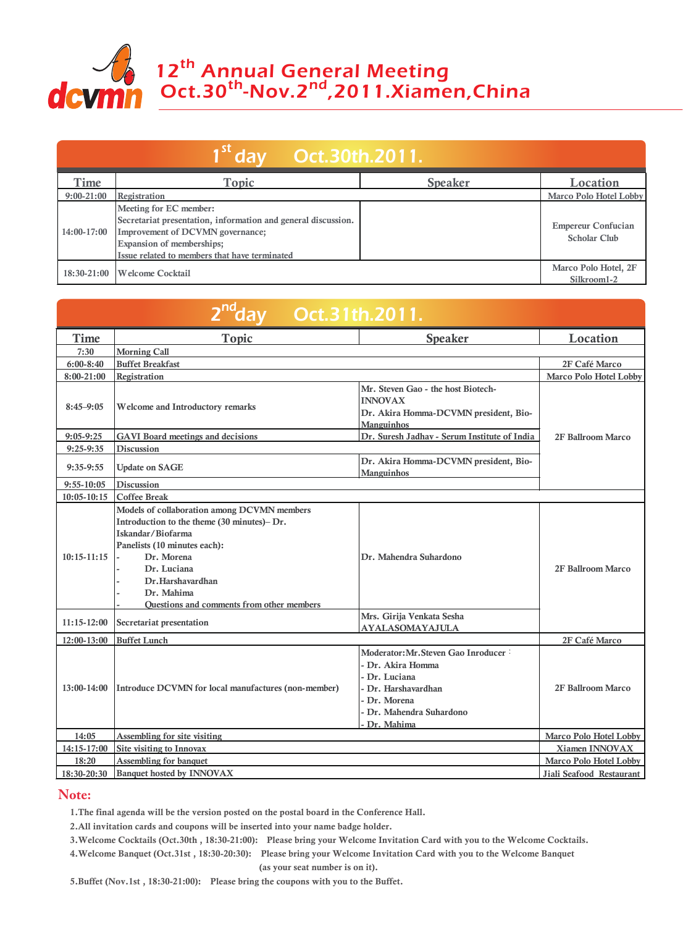

## 12<sup>th</sup> Annual General Meeting Oct.30<sup>th</sup>-Nov.2<sup>nd</sup>,2011.Xiamen,China

| $1st$ day $Oct.$ 30th. 2011. |                                                                                                                                                                                                                  |                |                                                  |  |
|------------------------------|------------------------------------------------------------------------------------------------------------------------------------------------------------------------------------------------------------------|----------------|--------------------------------------------------|--|
| Time                         | Topic                                                                                                                                                                                                            | <b>Speaker</b> | Location                                         |  |
| $9:00 - 21:00$               | Registration                                                                                                                                                                                                     |                | Marco Polo Hotel Lobby                           |  |
| $14:00-17:00$                | Meeting for EC member:<br>Secretariat presentation, information and general discussion.<br>Improvement of DCVMN governance;<br><b>Expansion of memberships;</b><br>Issue related to members that have terminated |                | <b>Empereur Confucian</b><br><b>Scholar Club</b> |  |
| $18:30 - 21:00$              | <b>Welcome Cocktail</b>                                                                                                                                                                                          |                | Marco Polo Hotel, 2F<br>Silkroom1-2              |  |

| $2nd$ day<br>Oct.31th.2011. |                                                                                                                                                                                                                                                                     |                                                                                                                                                              |                               |  |
|-----------------------------|---------------------------------------------------------------------------------------------------------------------------------------------------------------------------------------------------------------------------------------------------------------------|--------------------------------------------------------------------------------------------------------------------------------------------------------------|-------------------------------|--|
| Time                        | <b>Topic</b>                                                                                                                                                                                                                                                        | <b>Speaker</b>                                                                                                                                               | Location                      |  |
| 7:30                        | <b>Morning Call</b>                                                                                                                                                                                                                                                 |                                                                                                                                                              |                               |  |
| $6:00-8:40$                 | <b>Buffet Breakfast</b>                                                                                                                                                                                                                                             |                                                                                                                                                              | 2F Café Marco                 |  |
| $8:00 - 21:00$              | Registration                                                                                                                                                                                                                                                        |                                                                                                                                                              | <b>Marco Polo Hotel Lobby</b> |  |
| $8:45-9:05$                 | Welcome and Introductory remarks                                                                                                                                                                                                                                    | Mr. Steven Gao - the host Biotech-<br><b>INNOVAX</b><br>Dr. Akira Homma-DCVMN president, Bio-<br><b>Manguinhos</b>                                           |                               |  |
| $9:05-9:25$                 | <b>GAVI</b> Board meetings and decisions                                                                                                                                                                                                                            | Dr. Suresh Jadhav - Serum Institute of India                                                                                                                 | <b>2F Ballroom Marco</b>      |  |
| 9:25-9:35                   | <b>Discussion</b>                                                                                                                                                                                                                                                   |                                                                                                                                                              |                               |  |
| $9:35-9:55$                 | <b>Update on SAGE</b>                                                                                                                                                                                                                                               | Dr. Akira Homma-DCVMN president, Bio-<br><b>Manguinhos</b>                                                                                                   |                               |  |
| $9:55 - 10:05$              | <b>Discussion</b>                                                                                                                                                                                                                                                   |                                                                                                                                                              |                               |  |
| $10:05 - 10:15$             | <b>Coffee Break</b>                                                                                                                                                                                                                                                 |                                                                                                                                                              |                               |  |
| $10:15 - 11:15$             | Models of collaboration among DCVMN members<br>Introduction to the theme (30 minutes)– Dr.<br>Iskandar/Biofarma<br>Panelists (10 minutes each):<br>Dr. Morena<br>Dr. Luciana<br>Dr. Harshavardhan<br>Dr. Mahima<br><b>Ouestions and comments from other members</b> | Dr. Mahendra Suhardono                                                                                                                                       | <b>2F Ballroom Marco</b>      |  |
| $11:15-12:00$               | Secretariat presentation                                                                                                                                                                                                                                            | Mrs. Girija Venkata Sesha<br><b>AYALASOMAYAJULA</b>                                                                                                          |                               |  |
| $12:00-13:00$               | <b>Buffet Lunch</b>                                                                                                                                                                                                                                                 |                                                                                                                                                              | 2F Café Marco                 |  |
| $13:00-14:00$               | Introduce DCVMN for local manufactures (non-member)                                                                                                                                                                                                                 | Moderator: Mr. Steven Gao Inroducer<br>- Dr. Akira Homma<br>- Dr. Luciana<br>- Dr. Harshavardhan<br>- Dr. Morena<br>- Dr. Mahendra Suhardono<br>- Dr. Mahima | 2F Ballroom Marco             |  |
| 14:05                       | Assembling for site visiting                                                                                                                                                                                                                                        |                                                                                                                                                              | Marco Polo Hotel Lobby        |  |
| 14:15-17:00                 | Site visiting to Innovax                                                                                                                                                                                                                                            |                                                                                                                                                              | Xiamen INNOVAX                |  |
| 18:20                       | <b>Assembling for banquet</b>                                                                                                                                                                                                                                       |                                                                                                                                                              | <b>Marco Polo Hotel Lobby</b> |  |
| 18:30-20:30                 | <b>Banquet hosted by INNOVAX</b>                                                                                                                                                                                                                                    |                                                                                                                                                              | Jiali Seafood Restaurant      |  |

**Note:**

1.The final agenda will be the version posted on the postal board in the Conference Hall.

2.All invitation cards and coupons will be inserted into your name badge holder.

3.Welcome Cocktails (Oct.30th , 18:30-21:00): Please bring your Welcome Invitation Card with you to the Welcome Cocktails.

4.Welcome Banquet (Oct.31st , 18:30-20:30): Please bring your Welcome Invitation Card with you to the Welcome Banquet

(as your seat number is on it).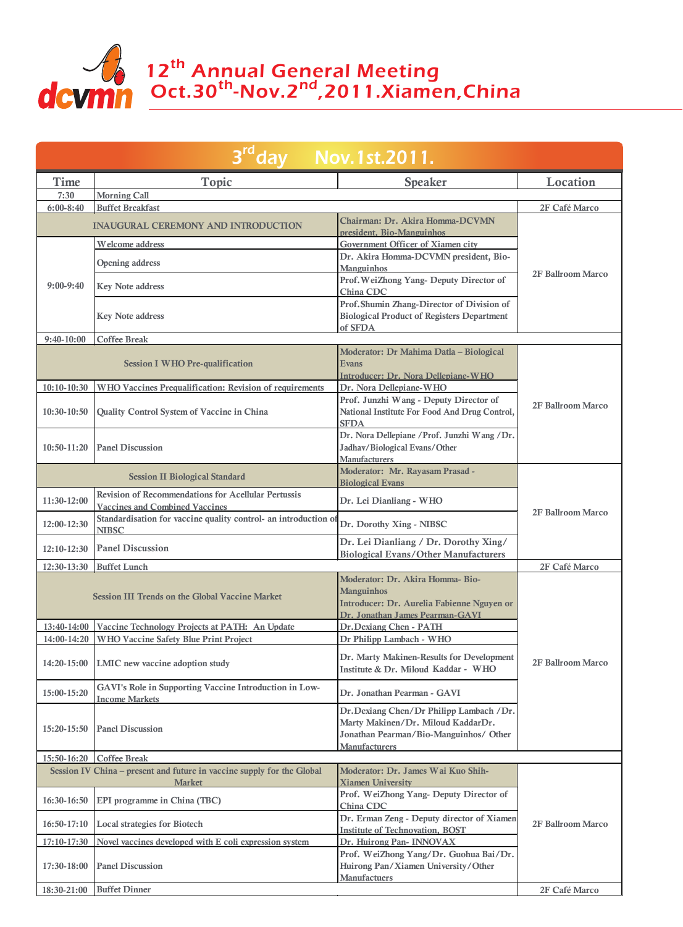

## 12<sup>th</sup> Annual General Meeting Oct.30<sup>th</sup>-Nov.2<sup>nd</sup>,2011.Xiamen,China

| 3rd day Nov. 1st. 2011. |                                                                                                     |                                                                                                                                                   |                          |
|-------------------------|-----------------------------------------------------------------------------------------------------|---------------------------------------------------------------------------------------------------------------------------------------------------|--------------------------|
| <b>Time</b>             | Topic                                                                                               | <b>Speaker</b>                                                                                                                                    | Location                 |
| 7:30                    | <b>Morning Call</b>                                                                                 |                                                                                                                                                   |                          |
| $6:00 - 8:40$           | <b>Buffet Breakfast</b>                                                                             |                                                                                                                                                   | 2F Café Marco            |
|                         | <b>INAUGURAL CEREMONY AND INTRODUCTION</b>                                                          | Chairman: Dr. Akira Homma-DCVMN<br>president, Bio-Manguinhos                                                                                      |                          |
|                         | Welcome address                                                                                     | Government Officer of Xiamen city                                                                                                                 |                          |
|                         | <b>Opening address</b>                                                                              | Dr. Akira Homma-DCVMN president, Bio-                                                                                                             |                          |
|                         |                                                                                                     | <b>Manguinhos</b>                                                                                                                                 | <b>2F Ballroom Marco</b> |
| $9:00-9:40$             | <b>Key Note address</b>                                                                             | Prof. WeiZhong Yang- Deputy Director of<br>China CDC                                                                                              |                          |
|                         | <b>Key Note address</b>                                                                             | Prof. Shumin Zhang-Director of Division of<br><b>Biological Product of Registers Department</b><br>of SFDA                                        |                          |
| $9:40-10:00$            | <b>Coffee Break</b>                                                                                 |                                                                                                                                                   |                          |
|                         | <b>Session I WHO Pre-qualification</b>                                                              | Moderator: Dr Mahima Datla - Biological<br>Evans<br>Introducer: Dr. Nora Dellepiane-WHO                                                           |                          |
| $10:10-10:30$           | WHO Vaccines Prequalification: Revision of requirements                                             | Dr. Nora Dellepiane-WHO                                                                                                                           |                          |
| $10:30-10:50$           | Quality Control System of Vaccine in China                                                          | Prof. Junzhi Wang - Deputy Director of<br>National Institute For Food And Drug Control,<br><b>SFDA</b>                                            | <b>2F Ballroom Marco</b> |
| $10:50-11:20$           | <b>Panel Discussion</b>                                                                             | Dr. Nora Dellepiane / Prof. Junzhi Wang / Dr.<br>Jadhav/Biological Evans/Other<br><b>Manufacturers</b>                                            |                          |
|                         | <b>Session II Biological Standard</b>                                                               | Moderator: Mr. Rayasam Prasad -<br><b>Biological Evans</b>                                                                                        |                          |
| 11:30-12:00             | <b>Revision of Recommendations for Acellular Pertussis</b><br><b>Vaccines and Combined Vaccines</b> | Dr. Lei Dianliang - WHO                                                                                                                           | <b>2F Ballroom Marco</b> |
| $12:00 - 12:30$         | Standardisation for vaccine quality control- an introduction of<br><b>NIBSC</b>                     | Dr. Dorothy Xing - NIBSC                                                                                                                          |                          |
| $12:10-12:30$           | <b>Panel Discussion</b>                                                                             | Dr. Lei Dianliang / Dr. Dorothy Xing/<br><b>Biological Evans/Other Manufacturers</b>                                                              |                          |
| 12:30-13:30             | <b>Buffet Lunch</b>                                                                                 |                                                                                                                                                   | 2F Café Marco            |
|                         | <b>Session III Trends on the Global Vaccine Market</b>                                              | Moderator: Dr. Akira Homma- Bio-<br><b>Manguinhos</b><br>Introducer: Dr. Aurelia Fabienne Nguyen or<br>Dr. Jonathan James Pearman-GAVI            |                          |
| 13:40-14:00             | Vaccine Technology Projects at PATH: An Update                                                      | Dr. Dexiang Chen - PATH                                                                                                                           |                          |
| 14:00-14:20             | <b>WHO Vaccine Safety Blue Print Project</b>                                                        | Dr Philipp Lambach - WHO                                                                                                                          |                          |
| 14:20-15:00             | LMIC new vaccine adoption study                                                                     | Dr. Marty Makinen-Results for Development<br>Institute & Dr. Miloud Kaddar - WHO                                                                  | 2F Ballroom Marco        |
| 15:00-15:20             | GAVI's Role in Supporting Vaccine Introduction in Low-<br><b>Income Markets</b>                     | Dr. Jonathan Pearman - GAVI                                                                                                                       |                          |
| 15:20-15:50             | <b>Panel Discussion</b>                                                                             | Dr. Dexiang Chen/Dr Philipp Lambach / Dr.<br>Marty Makinen/Dr. Miloud KaddarDr.<br>Jonathan Pearman/Bio-Manguinhos/ Other<br><b>Manufacturers</b> |                          |
| 15:50-16:20             | <b>Coffee Break</b>                                                                                 |                                                                                                                                                   |                          |
|                         | Session IV China – present and future in vaccine supply for the Global<br><b>Market</b>             | Moderator: Dr. James Wai Kuo Shih-<br><b>Xiamen University</b>                                                                                    |                          |
| 16:30-16:50             | EPI programme in China (TBC)                                                                        | Prof. WeiZhong Yang- Deputy Director of<br>China CDC                                                                                              |                          |
| $16:50-17:10$           | <b>Local strategies for Biotech</b>                                                                 | Dr. Erman Zeng - Deputy director of Xiamen<br><b>Institute of Technovation, BOST</b>                                                              | <b>2F Ballroom Marco</b> |
| 17:10-17:30             | Novel vaccines developed with E coli expression system                                              | Dr. Huirong Pan- INNOVAX                                                                                                                          |                          |
| 17:30-18:00             | <b>Panel Discussion</b>                                                                             | Prof. WeiZhong Yang/Dr. Guohua Bai/Dr.<br>Huirong Pan/Xiamen University/Other<br><b>Manufactuers</b>                                              |                          |
| 18:30-21:00             | <b>Buffet Dinner</b>                                                                                |                                                                                                                                                   | 2F Café Marco            |